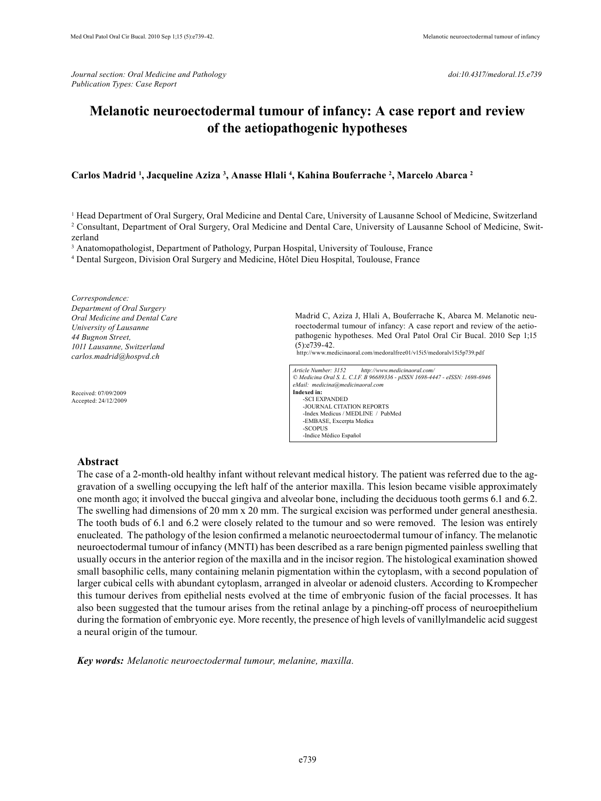*Journal section: Oral Medicine and Pathology doi:10.4317/medoral.15.e739 Publication Types: Case Report*

# **Melanotic neuroectodermal tumour of infancy: A case report and review of the aetiopathogenic hypotheses**

## **Carlos Madrid 1 , Jacqueline Aziza 3 , Anasse Hlali 4 , Kahina Bouferrache 2 , Marcelo Abarca 2**

1 Head Department of Oral Surgery, Oral Medicine and Dental Care, University of Lausanne School of Medicine, Switzerland

2 Consultant, Department of Oral Surgery, Oral Medicine and Dental Care, University of Lausanne School of Medicine, Switzerland

<sup>3</sup> Anatomopathologist, Department of Pathology, Purpan Hospital, University of Toulouse, France

4 Dental Surgeon, Division Oral Surgery and Medicine, Hôtel Dieu Hospital, Toulouse, France

*Correspondence: Department of Oral Surgery Oral Medicine and Dental Care University of Lausanne 44 Bugnon Street, 1011 Lausanne, Switzerland carlos.madrid@hospvd.ch*

Received: 07/09/2009 Accepted: 24/12/2009 Madrid C, Aziza J, Hlali A, Bouferrache K, Abarca M. Melanotic neuroectodermal tumour of infancy: A case report and review of the aetiopathogenic hypotheses. Med Oral Patol Oral Cir Bucal. 2010 Sep 1;15  $(5):e739-42.$ 

http://www.medicinaoral.com/medoralfree01/v15i5/medoralv15i5p739.pdf

*Article Number: 3152 http://www.medicinaoral.com/ © Medicina Oral S. L. C.I.F. B 96689336 - pISSN 1698-4447 - eISSN: 1698-6946 eMail: medicina@medicinaoral.com*  **Indexed in:**  -SCI EXPANDED -JOURNAL CITATION REPORTS -Index Medicus / MEDLINE / PubMed -EMBASE, Excerpta Medica -SCOPUS -Indice Médico Español

#### **Abstract**

The case of a 2-month-old healthy infant without relevant medical history. The patient was referred due to the aggravation of a swelling occupying the left half of the anterior maxilla. This lesion became visible approximately one month ago; it involved the buccal gingiva and alveolar bone, including the deciduous tooth germs 6.1 and 6.2. The swelling had dimensions of 20 mm x 20 mm. The surgical excision was performed under general anesthesia. The tooth buds of 6.1 and 6.2 were closely related to the tumour and so were removed. The lesion was entirely enucleated. The pathology of the lesion confirmed a melanotic neuroectodermal tumour of infancy. The melanotic neuroectodermal tumour of infancy (MNTI) has been described as a rare benign pigmented painless swelling that usually occurs in the anterior region of the maxilla and in the incisor region. The histological examination showed small basophilic cells, many containing melanin pigmentation within the cytoplasm, with a second population of larger cubical cells with abundant cytoplasm, arranged in alveolar or adenoid clusters. According to Krompecher this tumour derives from epithelial nests evolved at the time of embryonic fusion of the facial processes. It has also been suggested that the tumour arises from the retinal anlage by a pinching-off process of neuroepithelium during the formation of embryonic eye. More recently, the presence of high levels of vanillylmandelic acid suggest a neural origin of the tumour.

*Key words: Melanotic neuroectodermal tumour, melanine, maxilla.*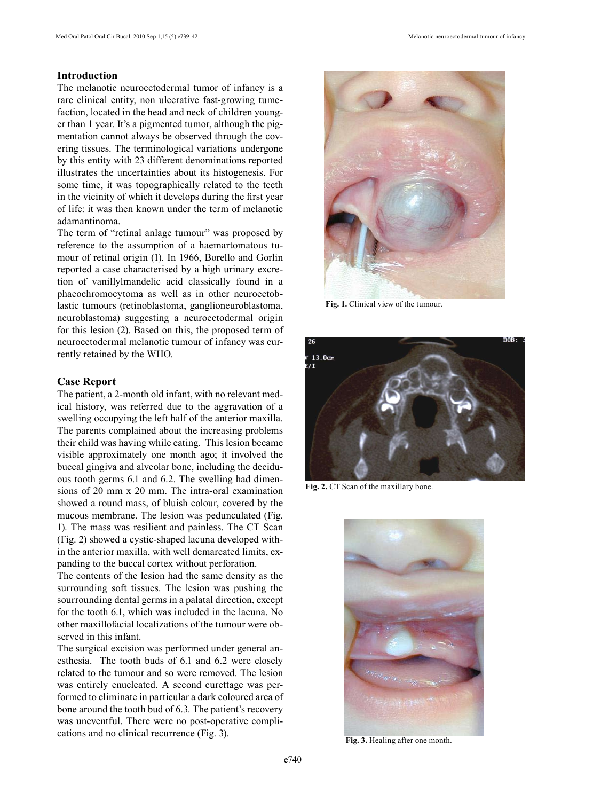## **Introduction**

The melanotic neuroectodermal tumor of infancy is a rare clinical entity, non ulcerative fast-growing tumefaction, located in the head and neck of children younger than 1 year. It's a pigmented tumor, although the pigmentation cannot always be observed through the covering tissues. The terminological variations undergone by this entity with 23 different denominations reported illustrates the uncertainties about its histogenesis. For some time, it was topographically related to the teeth in the vicinity of which it develops during the first year of life: it was then known under the term of melanotic adamantinoma.

The term of "retinal anlage tumour" was proposed by reference to the assumption of a haemartomatous tumour of retinal origin (1). In 1966, Borello and Gorlin reported a case characterised by a high urinary excretion of vanillylmandelic acid classically found in a phaeochromocytoma as well as in other neuroectoblastic tumours (retinoblastoma, ganglioneuroblastoma, neuroblastoma) suggesting a neuroectodermal origin for this lesion (2). Based on this, the proposed term of neuroectodermal melanotic tumour of infancy was currently retained by the WHO.

### **Case Report**

The patient, a 2-month old infant, with no relevant medical history, was referred due to the aggravation of a swelling occupying the left half of the anterior maxilla. The parents complained about the increasing problems their child was having while eating. This lesion became visible approximately one month ago; it involved the buccal gingiva and alveolar bone, including the deciduous tooth germs 6.1 and 6.2. The swelling had dimensions of 20 mm x 20 mm. The intra-oral examination showed a round mass, of bluish colour, covered by the mucous membrane. The lesion was pedunculated (Fig. 1). The mass was resilient and painless. The CT Scan (Fig. 2) showed a cystic-shaped lacuna developed within the anterior maxilla, with well demarcated limits, expanding to the buccal cortex without perforation.

The contents of the lesion had the same density as the surrounding soft tissues. The lesion was pushing the sourrounding dental germs in a palatal direction, except for the tooth 6.1, which was included in the lacuna. No other maxillofacial localizations of the tumour were observed in this infant.

The surgical excision was performed under general anesthesia. The tooth buds of 6.1 and 6.2 were closely related to the tumour and so were removed. The lesion was entirely enucleated. A second curettage was performed to eliminate in particular a dark coloured area of bone around the tooth bud of 6.3. The patient's recovery was uneventful. There were no post-operative complications and no clinical recurrence (Fig. 3).



**Fig. 1.** Clinical view of the tumour.



**Fig. 2.** CT Scan of the maxillary bone.



**Fig. 3.** Healing after one month.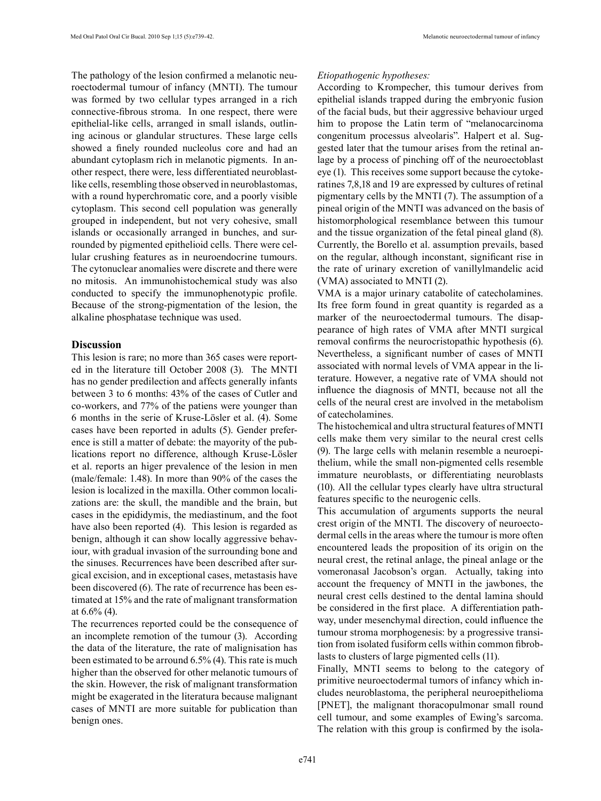The pathology of the lesion confirmed a melanotic neuroectodermal tumour of infancy (MNTI). The tumour was formed by two cellular types arranged in a rich connective-fibrous stroma. In one respect, there were epithelial-like cells, arranged in small islands, outlining acinous or glandular structures. These large cells showed a finely rounded nucleolus core and had an abundant cytoplasm rich in melanotic pigments. In another respect, there were, less differentiated neuroblastlike cells, resembling those observed in neuroblastomas, with a round hyperchromatic core, and a poorly visible cytoplasm. This second cell population was generally grouped in independent, but not very cohesive, small islands or occasionally arranged in bunches, and surrounded by pigmented epithelioid cells. There were cellular crushing features as in neuroendocrine tumours. The cytonuclear anomalies were discrete and there were no mitosis. An immunohistochemical study was also conducted to specify the immunophenotypic profile. Because of the strong-pigmentation of the lesion, the alkaline phosphatase technique was used.

### **Discussion**

This lesion is rare; no more than 365 cases were reported in the literature till October 2008 (3). The MNTI has no gender predilection and affects generally infants between 3 to 6 months: 43% of the cases of Cutler and co-workers, and 77% of the patiens were younger than 6 months in the serie of Kruse-Lösler et al. (4). Some cases have been reported in adults (5). Gender preference is still a matter of debate: the mayority of the publications report no difference, although Kruse-Lösler et al. reports an higer prevalence of the lesion in men (male/female: 1.48). In more than 90% of the cases the lesion is localized in the maxilla. Other common localizations are: the skull, the mandible and the brain, but cases in the epididymis, the mediastinum, and the foot have also been reported (4). This lesion is regarded as benign, although it can show locally aggressive behaviour, with gradual invasion of the surrounding bone and the sinuses. Recurrences have been described after surgical excision, and in exceptional cases, metastasis have been discovered (6). The rate of recurrence has been estimated at 15% and the rate of malignant transformation at 6.6% (4).

The recurrences reported could be the consequence of an incomplete remotion of the tumour (3). According the data of the literature, the rate of malignisation has been estimated to be arround 6.5% (4). This rate is much higher than the observed for other melanotic tumours of the skin. However, the risk of malignant transformation might be exagerated in the literatura because malignant cases of MNTI are more suitable for publication than benign ones.

#### *Etiopathogenic hypotheses:*

According to Krompecher, this tumour derives from epithelial islands trapped during the embryonic fusion of the facial buds, but their aggressive behaviour urged him to propose the Latin term of "melanocarcinoma congenitum processus alveolaris". Halpert et al. Suggested later that the tumour arises from the retinal anlage by a process of pinching off of the neuroectoblast eye (1). This receives some support because the cytokeratines 7,8,18 and 19 are expressed by cultures of retinal pigmentary cells by the MNTI (7). The assumption of a pineal origin of the MNTI was advanced on the basis of histomorphological resemblance between this tumour and the tissue organization of the fetal pineal gland (8). Currently, the Borello et al. assumption prevails, based on the regular, although inconstant, significant rise in the rate of urinary excretion of vanillylmandelic acid (VMA) associated to MNTI (2).

VMA is a major urinary catabolite of catecholamines. Its free form found in great quantity is regarded as a marker of the neuroectodermal tumours. The disappearance of high rates of VMA after MNTI surgical removal confirms the neurocristopathic hypothesis (6). Nevertheless, a significant number of cases of MNTI associated with normal levels of VMA appear in the literature. However, a negative rate of VMA should not influence the diagnosis of MNTI, because not all the cells of the neural crest are involved in the metabolism of catecholamines.

The histochemical and ultra structural features of MNTI cells make them very similar to the neural crest cells (9). The large cells with melanin resemble a neuroepithelium, while the small non-pigmented cells resemble immature neuroblasts, or differentiating neuroblasts (10). All the cellular types clearly have ultra structural features specific to the neurogenic cells.

This accumulation of arguments supports the neural crest origin of the MNTI. The discovery of neuroectodermal cells in the areas where the tumour is more often encountered leads the proposition of its origin on the neural crest, the retinal anlage, the pineal anlage or the vomeronasal Jacobson's organ. Actually, taking into account the frequency of MNTI in the jawbones, the neural crest cells destined to the dental lamina should be considered in the first place. A differentiation pathway, under mesenchymal direction, could influence the tumour stroma morphogenesis: by a progressive transition from isolated fusiform cells within common fibroblasts to clusters of large pigmented cells (11).

Finally, MNTI seems to belong to the category of primitive neuroectodermal tumors of infancy which includes neuroblastoma, the peripheral neuroepithelioma [PNET], the malignant thoracopulmonar small round cell tumour, and some examples of Ewing's sarcoma. The relation with this group is confirmed by the isola